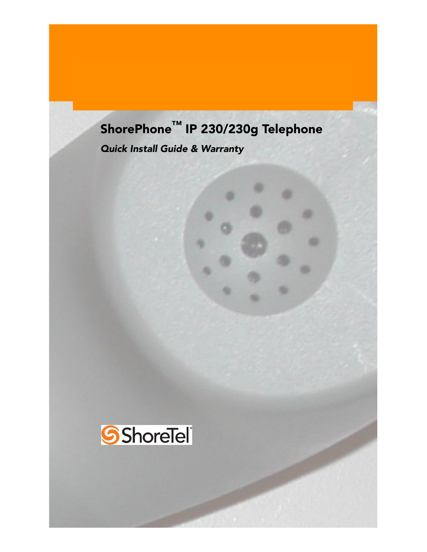# ShorePhone™ IP 230/230g Telephone

*Quick Install Guide & Warranty*

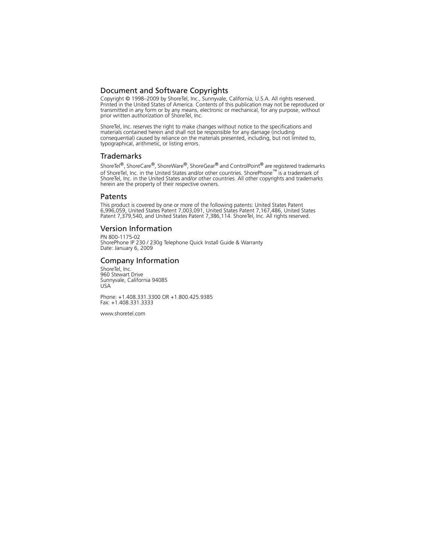# Document and Software Copyrights

Copyright © 1998–2009 by ShoreTel, Inc., Sunnyvale, California, U.S.A. All rights reserved. Printed in the United States of America. Contents of this publication may not be reproduced or transmitted in any form or by any means, electronic or mechanical, for any purpose, without prior written authorization of ShoreTel, Inc.

ShoreTel, Inc. reserves the right to make changes without notice to the specifications and materials contained herein and shall not be responsible for any damage (including consequential) caused by reliance on the materials presented, including, but not limited to, typographical, arithmetic, or listing errors.

### Trademarks

ShoreTel<sup>®</sup>, ShoreCare<sup>®</sup>, ShoreWare<sup>®</sup>, ShoreGear<sup>®</sup> and ControlPoint<sup>®</sup> are registered trademarks of ShoreTel, Inc. in the United States and/or other countries. ShorePhone™ is a trademark of ShoreTel, Inc. in the United States and/or other countries. All other copyrights and trademarks herein are the property of their respective owners.

#### **Patents**

This product is covered by one or more of the following patents: United States Patent 6,996,059, United States Patent 7,003,091, United States Patent 7,167,486, United States Patent 7,379,540, and United States Patent 7,386,114. ShoreTel, Inc. All rights reserved.

## Version Information

PN 800-1175-02 ShorePhone IP 230 / 230g Telephone Quick Install Guide & Warranty Date: January 6, 2009

## Company Information

ShoreTel, Inc. 960 Stewart Drive Sunnyvale, California 94085 USA

Phone: +1.408.331.3300 OR +1.800.425.9385 Fax: +1.408.331.3333

www.shoretel.com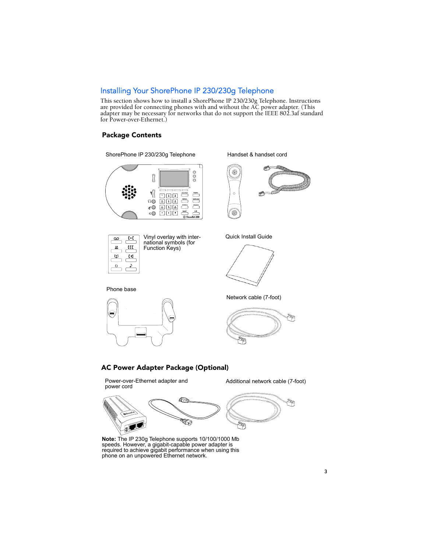# Installing Your ShorePhone IP 230/230g Telephone

This section shows how to install a ShorePhone IP 230/230g Telephone. Instructions are provided for connecting phones with and without the AC power adapter. (This adapter may be necessary for networks that do not support the IEEE 802.3af standard for Power-over-Ethernet.)

#### Package Contents



Handset & handset cord



Quick Install Guide





Network cable (7-foot)



#### AC Power Adapter Package (Optional)

Power-over-Ethernet adapter and **Additional network cable (7-foot)**<br>power cord





**Note:** The IP 230g Telephone supports 10/100/1000 Mb speeds. However, a gigabit-capable power adapter is required to achieve gigabit performance when using this phone on an unpowered Ethernet network.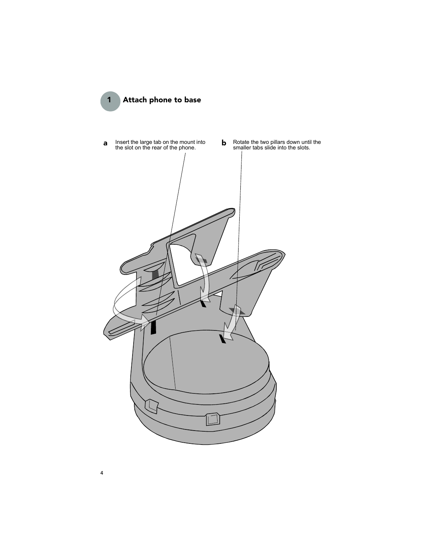

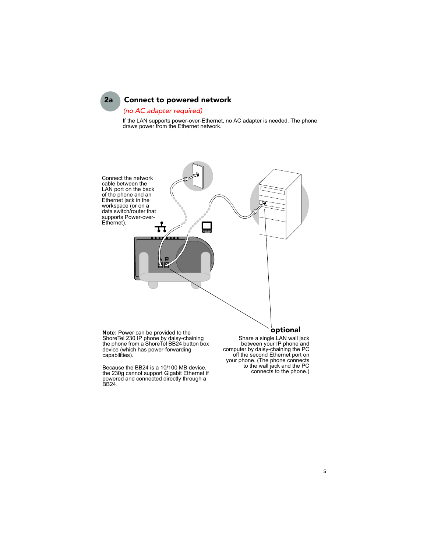# 2a Connect to powered network

#### *(no AC adapter required)*

If the LAN supports power-over-Ethernet, no AC adapter is needed. The phone draws power from the Ethernet network.



the phone from a ShoreTel BB24 button box device (which has power-forwarding capabilities).

Because the BB24 is a 10/100 MB device, the 230g cannot support Gigabit Ethernet if powered and connected directly through a BB24.

between your IP phone and computer by daisy-chaining the PC off the second Ethernet port on your phone. (The phone connects to the wall jack and the PC connects to the phone.)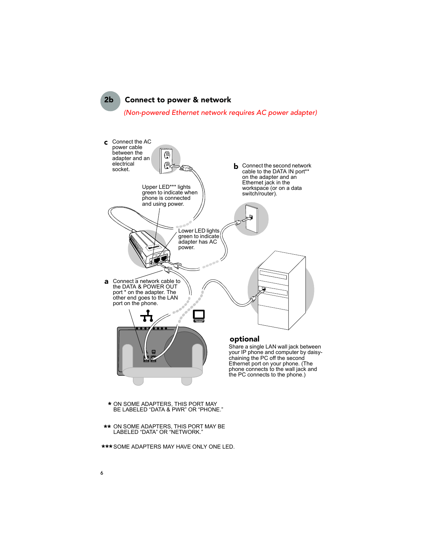2b Connect to power & network *(Non-powered Ethernet network requires AC power adapter)*



- \* ON SOME ADAPTERS, THIS PORT MAY BE LABELED "DATA & PWR" OR "PHONE."
- \*\* ON SOME ADAPTERS, THIS PORT MAY BE LABELED "DATA" OR "NETWORK."
- \*\*\*SOME ADAPTERS MAY HAVE ONLY ONE LED.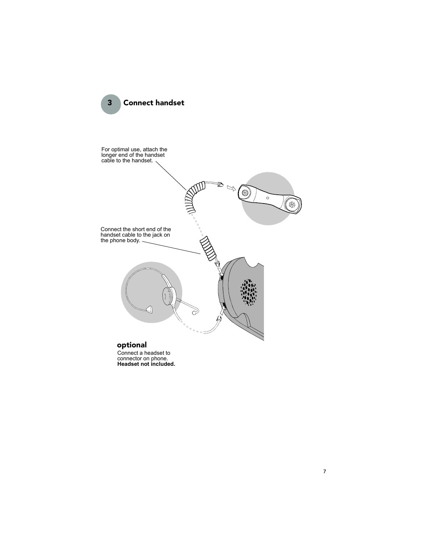



Connect a headset to connector on phone. **Headset not included.**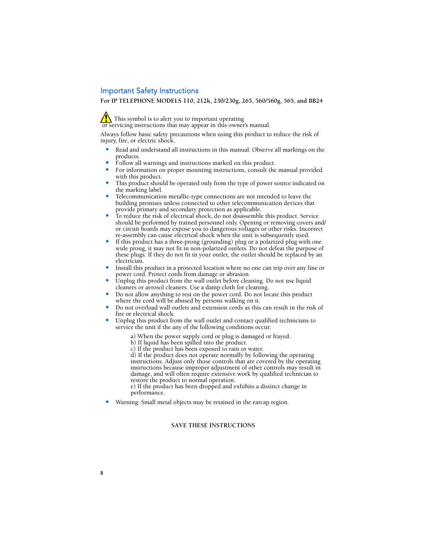# Important Safety Instructions

**For IP TELEPHONE MODELS 110, 212k, 230/230g, 265, 560/560g, 565, and BB24**

This symbol is to alert you to important operating or servicing instructions that may appear in this owner's manual.

Always follow basic safety precautions when using this product to reduce the risk of injury, fire, or electric shock.

- Read and understand all instructions in this manual. Observe all markings on the products.
- Follow all warnings and instructions marked on this product.
- For information on proper mounting instructions, consult the manual provided with this product.
- This product should be operated only from the type of power source indicated on the marking label.
- Telecommunication metallic-type connections are not intended to leave the building premises unless connected to other telecommunication devices that provide primary and secondary protection as applicable.
- To reduce the risk of electrical shock, do not disassemble this product. Service should be performed by trained personnel only. Opening or removing covers and/ or circuit boards may expose you to dangerous voltages or other risks. Incorrect re-assembly can cause electrical shock when the unit is subsequently used.
- If this product has a three-prong (grounding) plug or a polarized plug with one wide prong, it may not fit in non-polarized outlets. Do not defeat the purpose of these plugs. If they do not fit in your outlet, the outlet should be replaced by an electrician.
- Install this product in a protected location where no one can trip over any line or power cord. Protect cords from damage or abrasion.
- Unplug this product from the wall outlet before cleaning. Do not use liquid cleaners or aerosol cleaners. Use a damp cloth for cleaning.
- Do not allow anything to rest on the power cord. Do not locate this product where the cord will be abused by persons walking on it.
- Do not overload wall outlets and extension cords as this can result in the risk of fire or electrical shock.
- Unplug this product from the wall outlet and contact qualified technicians to service the unit if the any of the following conditions occur:
	- a) When the power supply cord or plug is damaged or frayed.
	- b) If liquid has been spilled into the product.
	- c) If the product has been exposed to rain or water.

d) If the product does not operate normally by following the operating instructions. Adjust only those controls that are covered by the operating instructions because improper adjustment of other controls may result in damage, and will often require extensive work by qualified technician to restore the product to normal operation.

e) If the product has been dropped and exhibits a distinct change in performance.

• Warning: Small metal objects may be retained in the earcap region.

#### **SAVE THESE INSTRUCTIONS**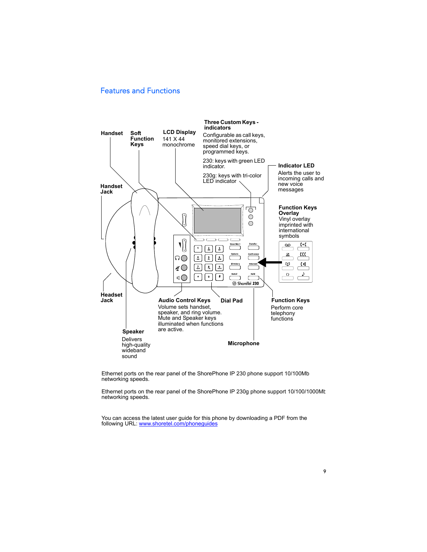# Features and Functions



Ethernet ports on the rear panel of the ShorePhone IP 230 phone support 10/100Mb networking speeds.

Ethernet ports on the rear panel of the ShorePhone IP 230g phone support 10/100/1000Mt networking speeds.

You can access the latest user guide for this phone by downloading a PDF from the following URL: www.shoretel.com/phoneguides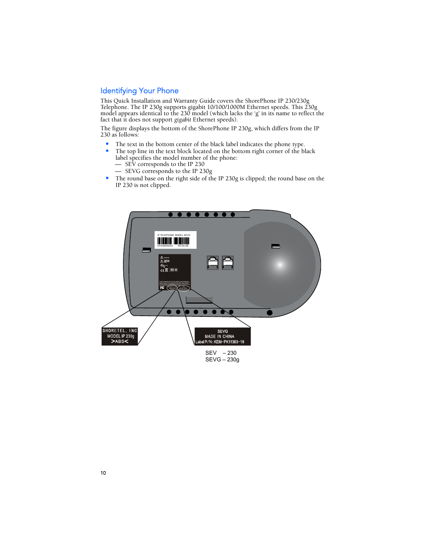# Identifying Your Phone

This Quick Installation and Warranty Guide covers the ShorePhone IP 230/230g Telephone. The IP 230g supports gigabit 10/100/1000M Ethernet speeds. This 230g model appears identical to the 230 model (which lacks the 'g' in its name to reflect the fact that it does not support *gigabit* Ethernet speeds).

The figure displays the bottom of the ShorePhone IP 230g, which differs from the IP 230 as follows:

- The text in the bottom center of the black label indicates the phone type.<br>• The top line in the text block located on the bottom right corner of the bl
- The top line in the text block located on the bottom right corner of the black label specifies the model number of the phone: — SEV corresponds to the IP 230
	- SEVG corresponds to the IP 230g
- The round base on the right side of the IP 230g is clipped; the round base on the IP 230 is not clipped.



SEVG – 230g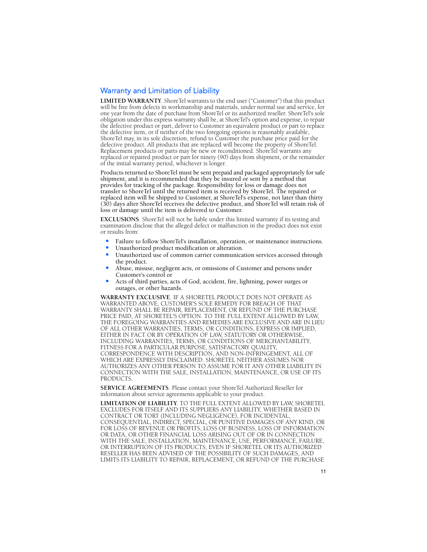# Warranty and Limitation of Liability

**LIMITED WARRANTY**. ShoreTel warrants to the end user ("Customer") that this product will be free from defects in workmanship and materials, under normal use and service, for one year from the date of purchase from ShoreTel or its authorized reseller. ShoreTel's sole obligation under this express warranty shall be, at ShoreTel's option and expense, to repair the defective product or part, deliver to Customer an equivalent product or part to replace the defective item, or if neither of the two foregoing options is reasonably available, ShoreTel may, in its sole discretion, refund to Customer the purchase price paid for the defective product. All products that are replaced will become the property of ShoreTel. Replacement products or parts may be new or reconditioned. ShoreTel warrants any replaced or repaired product or part for ninety (90) days from shipment, or the remainder of the initial warranty period, whichever is longer.

Products returned to ShoreTel must be sent prepaid and packaged appropriately for safe shipment, and it is recommended that they be insured or sent by a method that provides for tracking of the package. Responsibility for loss or damage does not transfer to ShoreTel until the returned item is received by ShoreTel. The repaired or replaced item will be shipped to Customer, at ShoreTel's expense, not later than thirty (30) days after ShoreTel receives the defective product, and ShoreTel will retain risk of loss or damage until the item is delivered to Customer.

**EXCLUSIONS**. ShoreTel will not be liable under this limited warranty if its testing and examination disclose that the alleged defect or malfunction in the product does not exist or results from:

- Failure to follow ShoreTel's installation, operation, or maintenance instructions.
- Unauthorized product modification or alteration.
- Unauthorized use of common carrier communication services accessed through the product.
- Abuse, misuse, negligent acts, or omissions of Customer and persons under Customer's control or
- Acts of third parties, acts of God, accident, fire, lightning, power surges or outages, or other hazards.

**WARRANTY EXCLUSIVE**. IF A SHORETEL PRODUCT DOES NOT OPERATE AS WARRANTED ABOVE, CUSTOMER'S SOLE REMEDY FOR BREACH OF THAT WARRANTY SHALL BE REPAIR, REPLACEMENT, OR REFUND OF THE PURCHASE PRICE PAID, AT SHORETEL'S OPTION. TO THE FULL EXTENT ALLOWED BY LAW, THE FOREGOING WARRANTIES AND REMEDIES ARE EXCLUSIVE AND ARE IN LIEU OF ALL OTHER WARRANTIES, TERMS, OR CONDITIONS, EXPRESS OR IMPLIED, EITHER IN FACT OR BY OPERATION OF LAW, STATUTORY OR OTHERWISE, INCLUDING WARRANTIES, TERMS, OR CONDITIONS OF MERCHANTABILITY, FITNESS FOR A PARTICULAR PURPOSE, SATISFACTORY QUALITY, CORRESPONDENCE WITH DESCRIPTION, AND NON-INFRINGEMENT, ALL OF WHICH ARE EXPRESSLY DISCLAIMED. SHORETEL NEITHER ASSUMES NOR AUTHORIZES ANY OTHER PERSON TO ASSUME FOR IT ANY OTHER LIABILITY IN CONNECTION WITH THE SALE, INSTALLATION, MAINTENANCE, OR USE OF ITS PRODUCTS.

**SERVICE AGREEMENTS**. Please contact your ShoreTel Authorized Reseller for information about service agreements applicable to your product.

**LIMITATION OF LIABILITY**. TO THE FULL EXTENT ALLOWED BY LAW, SHORETEL EXCLUDES FOR ITSELF AND ITS SUPPLIERS ANY LIABILITY, WHETHER BASED IN CONTRACT OR TORT (INCLUDING NEGLIGENCE), FOR INCIDENTAL, CONSEQUENTIAL, INDIRECT, SPECIAL, OR PUNITIVE DAMAGES OF ANY KIND, OR FOR LOSS OF REVENUE OR PROFITS, LOSS OF BUSINESS, LOSS OF INFORMATION OR DATA, OR OTHER FINANCIAL LOSS ARISING OUT OF OR IN CONNECTION WITH THE SALE, INSTALLATION, MAINTENANCE, USE, PERFORMANCE, FAILURE, OR INTERRUPTION OF ITS PRODUCTS, EVEN IF SHORETEL OR ITS AUTHORIZED RESELLER HAS BEEN ADVISED OF THE POSSIBILITY OF SUCH DAMAGES, AND LIMITS ITS LIABILITY TO REPAIR, REPLACEMENT, OR REFUND OF THE PURCHASE